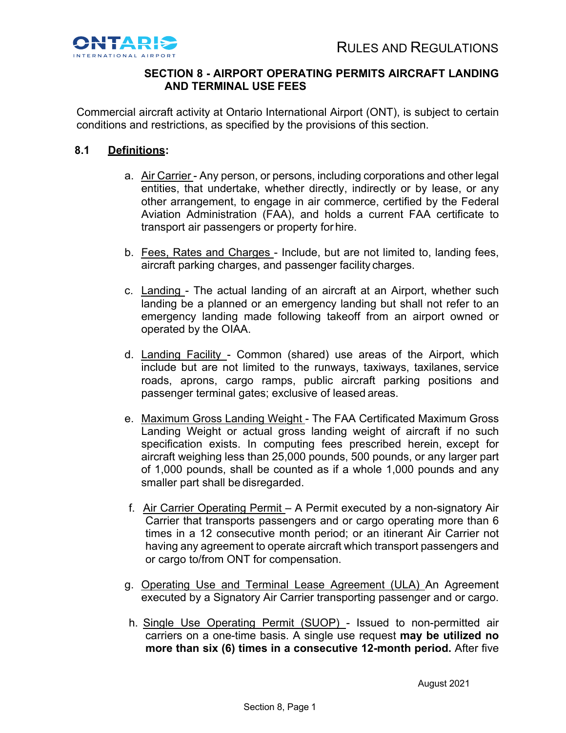

# **SECTION 8 - AIRPORT OPERATING PERMITS AIRCRAFT LANDING AND TERMINAL USE FEES**

Commercial aircraft activity at Ontario International Airport (ONT), is subject to certain conditions and restrictions, as specified by the provisions of this section.

# **8.1 Definitions:**

- a. Air Carrier Any person, or persons, including corporations and other legal entities, that undertake, whether directly, indirectly or by lease, or any other arrangement, to engage in air commerce, certified by the Federal Aviation Administration (FAA), and holds a current FAA certificate to transport air passengers or property for hire.
- b. Fees, Rates and Charges Include, but are not limited to, landing fees, aircraft parking charges, and passenger facility charges.
- c. Landing The actual landing of an aircraft at an Airport, whether such landing be a planned or an emergency landing but shall not refer to an emergency landing made following takeoff from an airport owned or operated by the OIAA.
- d. Landing Facility Common (shared) use areas of the Airport, which include but are not limited to the runways, taxiways, taxilanes, service roads, aprons, cargo ramps, public aircraft parking positions and passenger terminal gates; exclusive of leased areas.
- e. Maximum Gross Landing Weight The FAA Certificated Maximum Gross Landing Weight or actual gross landing weight of aircraft if no such specification exists. In computing fees prescribed herein, except for aircraft weighing less than 25,000 pounds, 500 pounds, or any larger part of 1,000 pounds, shall be counted as if a whole 1,000 pounds and any smaller part shall be disregarded.
- f. Air Carrier Operating Permit A Permit executed by a non-signatory Air Carrier that transports passengers and or cargo operating more than 6 times in a 12 consecutive month period; or an itinerant Air Carrier not having any agreement to operate aircraft which transport passengers and or cargo to/from ONT for compensation.
- g. Operating Use and Terminal Lease Agreement (ULA) An Agreement executed by a Signatory Air Carrier transporting passenger and or cargo.
- h. Single Use Operating Permit (SUOP) Issued to non-permitted air carriers on a one-time basis. A single use request **may be utilized no more than six (6) times in a consecutive 12-month period.** After five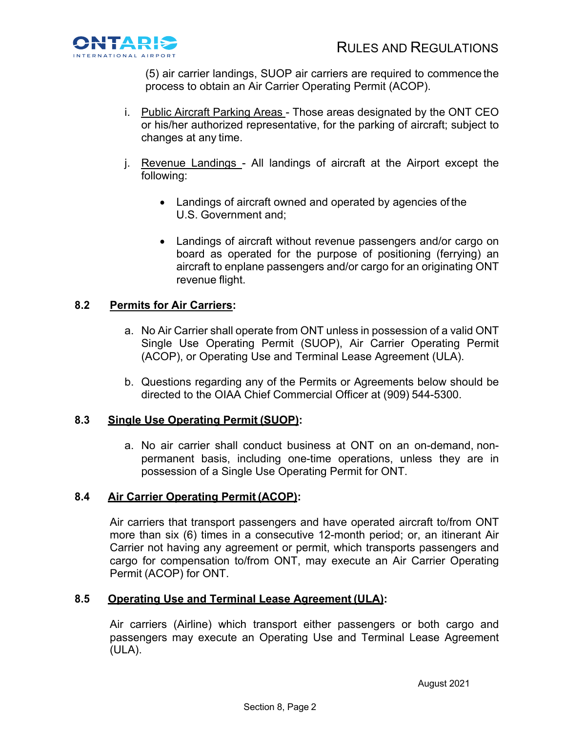

(5) air carrier landings, SUOP air carriers are required to commence the process to obtain an Air Carrier Operating Permit (ACOP).

- i. Public Aircraft Parking Areas Those areas designated by the ONT CEO or his/her authorized representative, for the parking of aircraft; subject to changes at any time.
- j. Revenue Landings All landings of aircraft at the Airport except the following:
	- Landings of aircraft owned and operated by agencies of the U.S. Government and;
	- Landings of aircraft without revenue passengers and/or cargo on board as operated for the purpose of positioning (ferrying) an aircraft to enplane passengers and/or cargo for an originating ONT revenue flight.

# **8.2 Permits for Air Carriers:**

- a. No Air Carrier shall operate from ONT unless in possession of a valid ONT Single Use Operating Permit (SUOP), Air Carrier Operating Permit (ACOP), or Operating Use and Terminal Lease Agreement (ULA).
- b. Questions regarding any of the Permits or Agreements below should be directed to the OIAA Chief Commercial Officer at (909) 544-5300.

## **8.3 Single Use Operating Permit (SUOP):**

a. No air carrier shall conduct business at ONT on an on-demand, nonpermanent basis, including one-time operations, unless they are in possession of a Single Use Operating Permit for ONT.

## **8.4 Air Carrier Operating Permit (ACOP):**

Air carriers that transport passengers and have operated aircraft to/from ONT more than six (6) times in a consecutive 12-month period; or, an itinerant Air Carrier not having any agreement or permit, which transports passengers and cargo for compensation to/from ONT, may execute an Air Carrier Operating Permit (ACOP) for ONT.

## **8.5 Operating Use and Terminal Lease Agreement (ULA):**

Air carriers (Airline) which transport either passengers or both cargo and passengers may execute an Operating Use and Terminal Lease Agreement (ULA).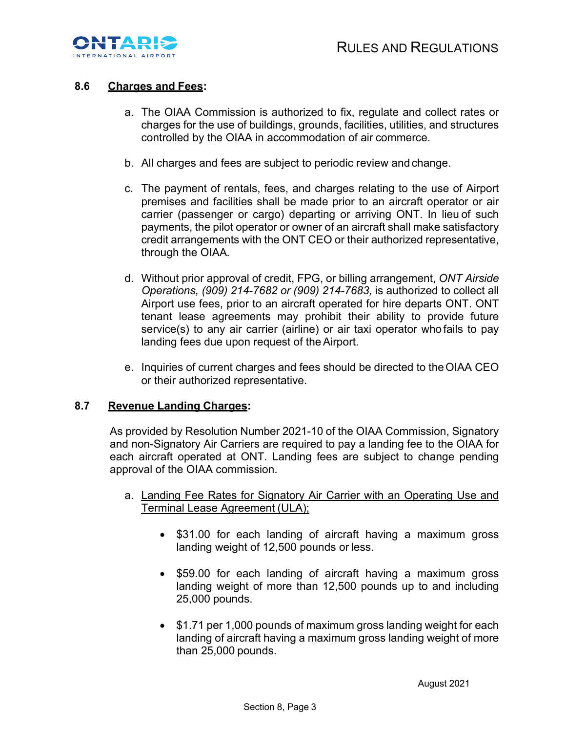

## **8.6 Charges and Fees:**

- a. The OIAA Commission is authorized to fix, regulate and collect rates or charges for the use of buildings, grounds, facilities, utilities, and structures controlled by the OIAA in accommodation of air commerce.
- b. All charges and fees are subject to periodic review and change.
- c. The payment of rentals, fees, and charges relating to the use of Airport premises and facilities shall be made prior to an aircraft operator or air carrier (passenger or cargo) departing or arriving ONT. In lieu of such payments, the pilot operator or owner of an aircraft shall make satisfactory credit arrangements with the ONT CEO or their authorized representative, through the OIAA*.*
- d. Without prior approval of credit, FPG, or billing arrangement, *ONT Airside Operations, (909) 214-7682 or (909) 214-7683,* is authorized to collect all Airport use fees, prior to an aircraft operated for hire departs ONT. ONT tenant lease agreements may prohibit their ability to provide future service(s) to any air carrier (airline) or air taxi operator who fails to pay landing fees due upon request of theAirport.
- e. Inquiries of current charges and fees should be directed to theOIAA CEO or their authorized representative.

#### **8.7 Revenue Landing Charges:**

As provided by Resolution Number 2021-10 of the OIAA Commission, Signatory and non-Signatory Air Carriers are required to pay a landing fee to the OIAA for each aircraft operated at ONT. Landing fees are subject to change pending approval of the OIAA commission.

- a. Landing Fee Rates for Signatory Air Carrier with an Operating Use and Terminal Lease Agreement (ULA);
	- \$31.00 for each landing of aircraft having a maximum gross landing weight of 12,500 pounds or less.
	- \$59.00 for each landing of aircraft having a maximum gross landing weight of more than 12,500 pounds up to and including 25,000 pounds.
	- \$1.71 per 1,000 pounds of maximum gross landing weight for each landing of aircraft having a maximum gross landing weight of more than 25,000 pounds.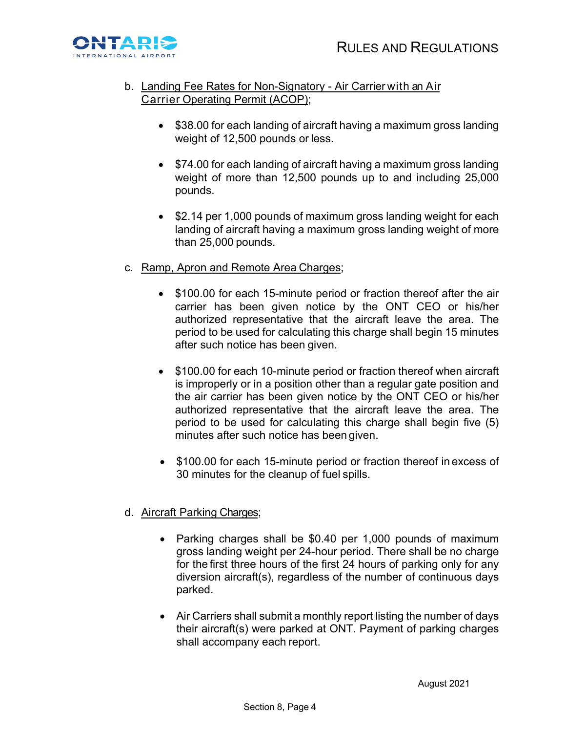

- b. Landing Fee Rates for Non-Signatory Air Carrier with an Air Carrier Operating Permit (ACOP);
	- \$38.00 for each landing of aircraft having a maximum gross landing weight of 12,500 pounds or less.
	- \$74.00 for each landing of aircraft having a maximum gross landing weight of more than 12,500 pounds up to and including 25,000 pounds.
	- \$2.14 per 1,000 pounds of maximum gross landing weight for each landing of aircraft having a maximum gross landing weight of more than 25,000 pounds.
- c. Ramp, Apron and Remote Area Charges;
	- \$100.00 for each 15-minute period or fraction thereof after the air carrier has been given notice by the ONT CEO or his/her authorized representative that the aircraft leave the area. The period to be used for calculating this charge shall begin 15 minutes after such notice has been given.
	- \$100.00 for each 10-minute period or fraction thereof when aircraft is improperly or in a position other than a regular gate position and the air carrier has been given notice by the ONT CEO or his/her authorized representative that the aircraft leave the area. The period to be used for calculating this charge shall begin five (5) minutes after such notice has been given.
	- \$100.00 for each 15-minute period or fraction thereof in excess of 30 minutes for the cleanup of fuel spills.

## d. Aircraft Parking Charges;

- Parking charges shall be \$0.40 per 1,000 pounds of maximum gross landing weight per 24-hour period. There shall be no charge for the first three hours of the first 24 hours of parking only for any diversion aircraft(s), regardless of the number of continuous days parked.
- Air Carriers shall submit a monthly report listing the number of days their aircraft(s) were parked at ONT. Payment of parking charges shall accompany each report.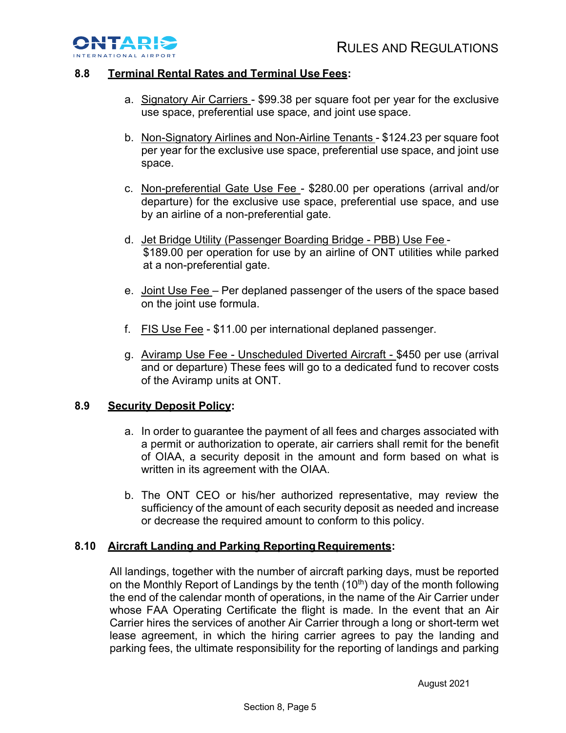

## **8.8 Terminal Rental Rates and Terminal Use Fees:**

- a. Signatory Air Carriers \$99.38 per square foot per year for the exclusive use space, preferential use space, and joint use space.
- b. Non-Signatory Airlines and Non-Airline Tenants \$124.23 per square foot per year for the exclusive use space, preferential use space, and joint use space.
- c. Non-preferential Gate Use Fee \$280.00 per operations (arrival and/or departure) for the exclusive use space, preferential use space, and use by an airline of a non-preferential gate.
- d. Jet Bridge Utility (Passenger Boarding Bridge PBB) Use Fee \$189.00 per operation for use by an airline of ONT utilities while parked at a non-preferential gate.
- e. Joint Use Fee Per deplaned passenger of the users of the space based on the joint use formula.
- f. FIS Use Fee \$11.00 per international deplaned passenger.
- g. Aviramp Use Fee Unscheduled Diverted Aircraft \$450 per use (arrival and or departure) These fees will go to a dedicated fund to recover costs of the Aviramp units at ONT.

## **8.9 Security Deposit Policy:**

- a. In order to guarantee the payment of all fees and charges associated with a permit or authorization to operate, air carriers shall remit for the benefit of OIAA, a security deposit in the amount and form based on what is written in its agreement with the OIAA.
- b. The ONT CEO or his/her authorized representative, may review the sufficiency of the amount of each security deposit as needed and increase or decrease the required amount to conform to this policy.

## **8.10 Aircraft Landing and Parking Reporting Requirements:**

All landings, together with the number of aircraft parking days, must be reported on the Monthly Report of Landings by the tenth (10<sup>th</sup>) day of the month following the end of the calendar month of operations, in the name of the Air Carrier under whose FAA Operating Certificate the flight is made. In the event that an Air Carrier hires the services of another Air Carrier through a long or short-term wet lease agreement, in which the hiring carrier agrees to pay the landing and parking fees, the ultimate responsibility for the reporting of landings and parking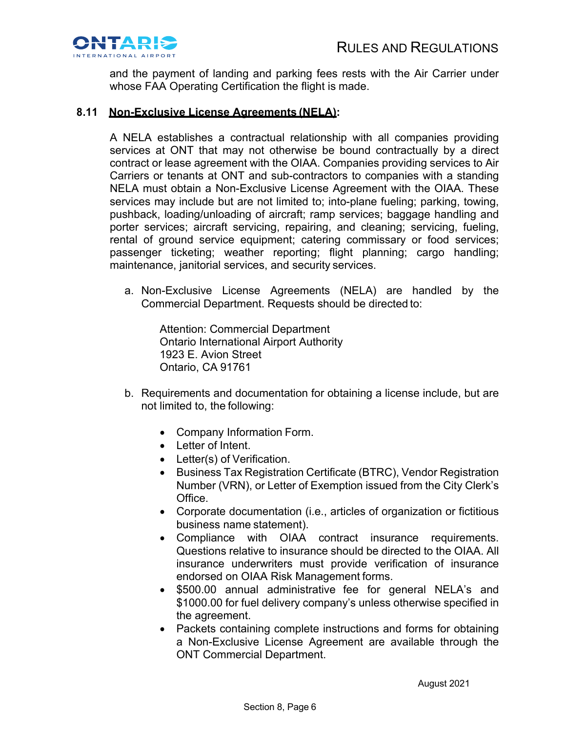

and the payment of landing and parking fees rests with the Air Carrier under whose FAA Operating Certification the flight is made.

#### **8.11 Non-Exclusive License Agreements (NELA):**

A NELA establishes a contractual relationship with all companies providing services at ONT that may not otherwise be bound contractually by a direct contract or lease agreement with the OIAA. Companies providing services to Air Carriers or tenants at ONT and sub-contractors to companies with a standing NELA must obtain a Non-Exclusive License Agreement with the OIAA. These services may include but are not limited to; into-plane fueling; parking, towing, pushback, loading/unloading of aircraft; ramp services; baggage handling and porter services; aircraft servicing, repairing, and cleaning; servicing, fueling, rental of ground service equipment; catering commissary or food services; passenger ticketing; weather reporting; flight planning; cargo handling; maintenance, janitorial services, and security services.

a. Non-Exclusive License Agreements (NELA) are handled by the Commercial Department. Requests should be directed to:

Attention: Commercial Department Ontario International Airport Authority 1923 E. Avion Street Ontario, CA 91761

- b. Requirements and documentation for obtaining a license include, but are not limited to, the following:
	- Company Information Form.
	- Letter of Intent.
	- Letter(s) of Verification.
	- Business Tax Registration Certificate (BTRC), Vendor Registration Number (VRN), or Letter of Exemption issued from the City Clerk's Office.
	- Corporate documentation (i.e., articles of organization or fictitious business name statement).
	- Compliance with OIAA contract insurance requirements. Questions relative to insurance should be directed to the OIAA. All insurance underwriters must provide verification of insurance endorsed on OIAA Risk Management forms.
	- \$500.00 annual administrative fee for general NELA's and \$1000.00 for fuel delivery company's unless otherwise specified in the agreement.
	- Packets containing complete instructions and forms for obtaining a Non-Exclusive License Agreement are available through the ONT Commercial Department.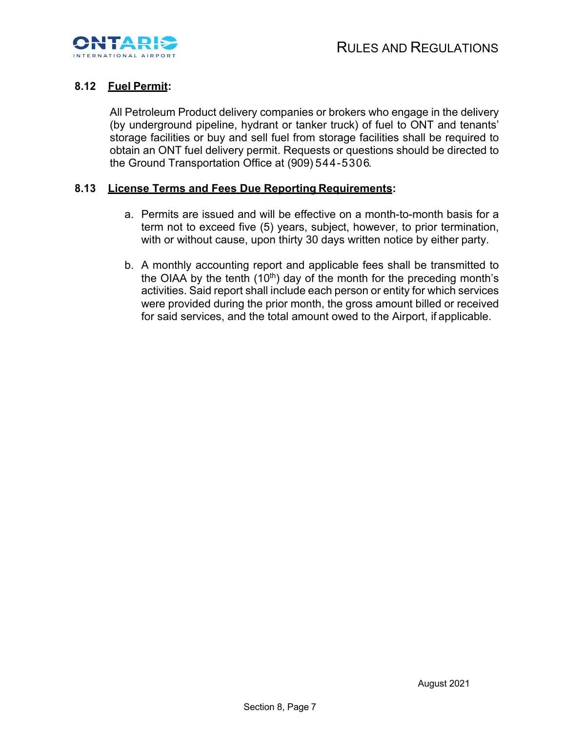

# **8.12 Fuel Permit:**

All Petroleum Product delivery companies or brokers who engage in the delivery (by underground pipeline, hydrant or tanker truck) of fuel to ONT and tenants' storage facilities or buy and sell fuel from storage facilities shall be required to obtain an ONT fuel delivery permit. Requests or questions should be directed to the Ground Transportation Office at (909) 5 4 4 -5 3 0 6.

#### **8.13 License Terms and Fees Due Reporting Requirements:**

- a. Permits are issued and will be effective on a month-to-month basis for a term not to exceed five (5) years, subject, however, to prior termination, with or without cause, upon thirty 30 days written notice by either party.
- b. A monthly accounting report and applicable fees shall be transmitted to the OIAA by the tenth (10<sup>th</sup>) day of the month for the preceding month's activities. Said report shall include each person or entity for which services were provided during the prior month, the gross amount billed or received for said services, and the total amount owed to the Airport, if applicable.